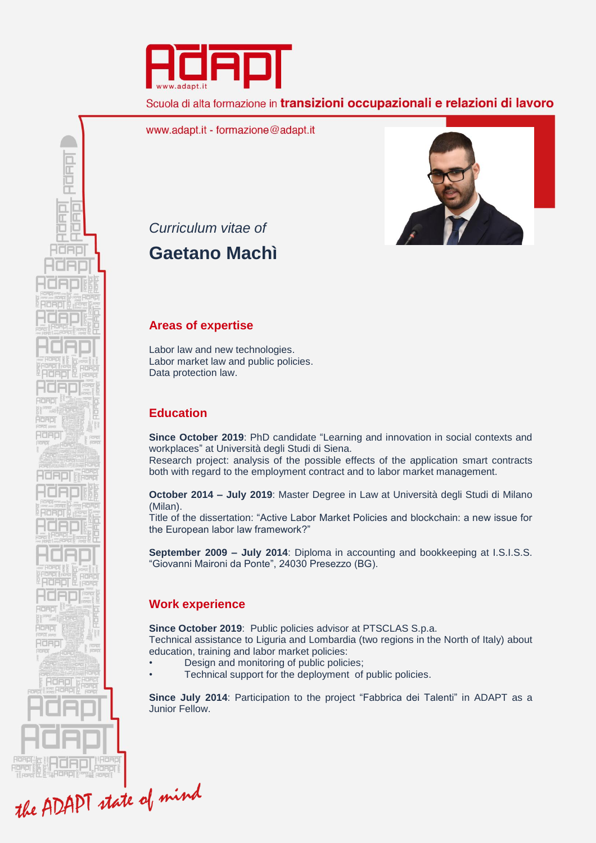

Scuola di alta formazione in *transizioni* occupazionali e relazioni di lavoro

www.adapt.it - formazione@adapt.it



*Curriculum vitae of*

RUFILI

ES Œ HORD

ROAD

RdApl

-IOADI

**Adap** 

RORDI

# **Gaetano Machì**

## **Areas of expertise**

Labor law and new technologies. Labor market law and public policies. Data protection law.

# **Education**

**Since October 2019**: PhD candidate "Learning and innovation in social contexts and workplaces" at Università degli Studi di Siena.

Research project: analysis of the possible effects of the application smart contracts both with regard to the employment contract and to labor market management.

**October 2014 – July 2019**: Master Degree in Law at Università degli Studi di Milano (Milan).

Title of the dissertation: "Active Labor Market Policies and blockchain: a new issue for the European labor law framework?"

**September 2009 – July 2014**: Diploma in accounting and bookkeeping at I.S.I.S.S. "Giovanni Maironi da Ponte", 24030 Presezzo (BG).

# **Work experience**

**Since October 2019**: Public policies advisor at PTSCLAS S.p.a. Technical assistance to Liguria and Lombardia (two regions in the North of Italy) about education, training and labor market policies:

- Design and monitoring of public policies;
- Technical support for the deployment of public policies.

**Since July 2014**: Participation to the project "Fabbrica dei Talenti" in ADAPT as a Junior Fellow.

the ADAPT state of mind